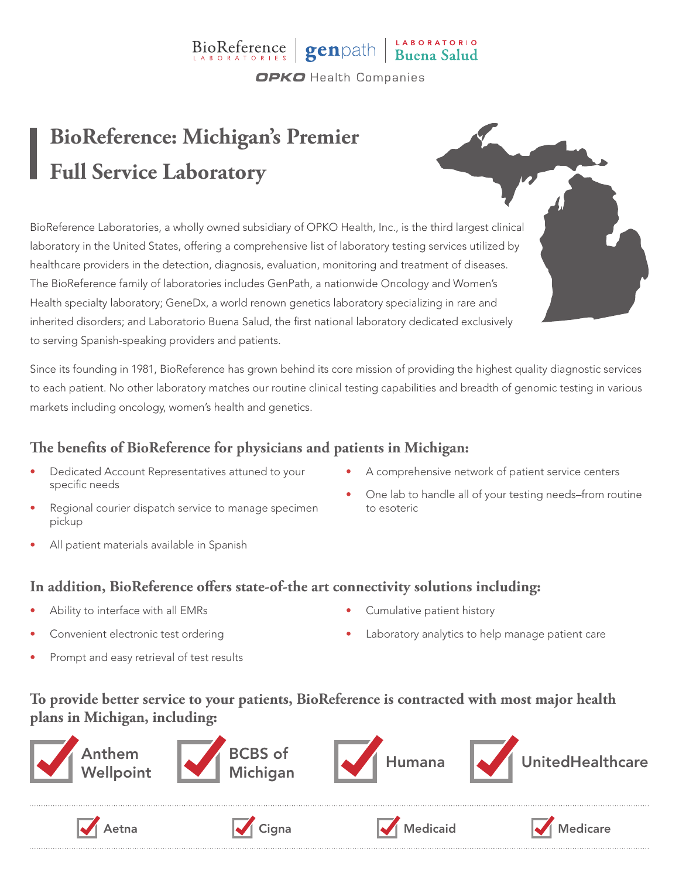## BioReference genpath Buena Salud **OPKO** Health Companies

**BioReference: Michigan's Premier Full Service Laboratory**

BioReference Laboratories, a wholly owned subsidiary of OPKO Health, Inc., is the third largest clinical laboratory in the United States, offering a comprehensive list of laboratory testing services utilized by healthcare providers in the detection, diagnosis, evaluation, monitoring and treatment of diseases. The BioReference family of laboratories includes GenPath, a nationwide Oncology and Women's Health specialty laboratory; GeneDx, a world renown genetics laboratory specializing in rare and inherited disorders; and Laboratorio Buena Salud, the first national laboratory dedicated exclusively to serving Spanish-speaking providers and patients.

Since its founding in 1981, BioReference has grown behind its core mission of providing the highest quality diagnostic services to each patient. No other laboratory matches our routine clinical testing capabilities and breadth of genomic testing in various markets including oncology, women's health and genetics.

### **The benefits of BioReference for physicians and patients in Michigan:**

- Dedicated Account Representatives attuned to your specific needs
- Regional courier dispatch service to manage specimen pickup
- All patient materials available in Spanish
- A comprehensive network of patient service centers
- One lab to handle all of your testing needs–from routine to esoteric

#### **In addition, BioReference offers state-of-the art connectivity solutions including:**

- Ability to interface with all EMRs
- Convenient electronic test ordering
- Prompt and easy retrieval of test results
- Cumulative patient history
- Laboratory analytics to help manage patient care

#### **To provide better service to your patients, BioReference is contracted with most major health plans in Michigan, including:**